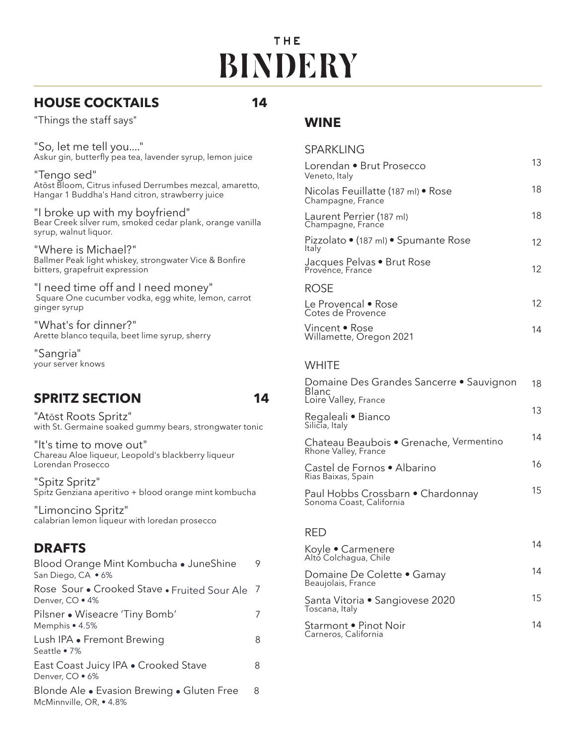# THE **BINDERY**

# **HOUSE COCKTAILS 14**

"Things the staff says"

"So, let me tell you...." Askur gin, butterfly pea tea, lavender syrup, lemon juice

"Tengo sed" Atōst Bloom, Citrus infused Derrumbes mezcal, amaretto, Hangar 1 Buddha's Hand citron, strawberry juice

"I broke up with my boyfriend" Bear Creek silver rum, smoked cedar plank, orange vanilla syrup, walnut liquor.

"Where is Michael?" Ballmer Peak light whiskey, strongwater Vice & Bonfire bitters, grapefruit expression

"I need time off and I need money" Square One cucumber vodka, egg white, lemon, carrot ginger syrup

"What's for dinner?" Arette blanco tequila, beet lime syrup, sherry

"Sangria" your server knows

# **SPRITZ SECTION 14**

"Atōst Roots Spritz" with St. Germaine soaked gummy bears, strongwater tonic

"It's time to move out"Chareau Aloe liqueur, Leopold's blackberry liqueur Lorendan Prosecco

"Spitz Spritz" Spitz Genziana aperitivo + blood orange mint kombucha

"Limoncino Spritz" calabrian lemon liqueur with loredan prosecco

# **DRAFTS**

| Blood Orange Mint Kombucha • JuneShine<br>San Diego, CA • 6%          | 9              |
|-----------------------------------------------------------------------|----------------|
| Rose Sour . Crooked Stave . Fruited Sour Ale<br>Denver, CO . 4%       | $\overline{1}$ |
| Pilsner • Wiseacre 'Tiny Bomb'<br>Memphis $\bullet$ 4.5%              |                |
| Lush IPA • Fremont Brewing<br>Seattle $\bullet$ 7%                    | 8              |
| East Coast Juicy IPA . Crooked Stave<br>Denver, CO · 6%               | 8              |
| Blonde Ale • Evasion Brewing • Gluten Free<br>McMinnville, OR, • 4.8% | 8              |

### **WINE**

| <b>SPARKLING</b>                                        |    |
|---------------------------------------------------------|----|
| Lorendan • Brut Prosecco<br>Veneto, Italy               | 13 |
| Nicolas Feuillatte (187 ml) • Rose<br>Champagne, France | 18 |
| Laurent Perrier (187 ml)<br>Champagne, France           | 18 |
| Pizzolato • (187 ml) • Spumante Rose<br>Italy           | 12 |
| Jacques Pelvas • Brut Rose<br>Provence, France          | 12 |
| ROSE                                                    |    |
| Le Provencal • Rose<br>Cotes de Provence                | 12 |
| Vincent • Rose<br>Willamette, Oregon 2021               | 14 |
|                                                         |    |

#### **WHITE**

| Domaine Des Grandes Sancerre • Sauvignon<br><b>Blanc</b><br>Loire Valley, France | 18 |
|----------------------------------------------------------------------------------|----|
| Regaleali • Bianco<br>Silicia, Italy                                             | 13 |
| Chateau Beaubois · Grenache, Vermentino<br>Rhone Valley, France                  | 14 |
| Castel de Fornos • Albarino<br>Rias Baixas, Spain                                | 16 |
| Paul Hobbs Crossbarn • Chardonnay<br>Sonoma Coast, California                    | 15 |
|                                                                                  |    |

#### RED

| Koyle • Carmenere<br>Alto Colchagua, Chile        | 14 |
|---------------------------------------------------|----|
| Domaine De Colette • Gamay<br>Beaujolais, France  | 14 |
| Santa Vitoria · Sangiovese 2020<br>Toscana, Italy | 15 |
| Starmont • Pinot Noir<br>Carneros, California     | 14 |